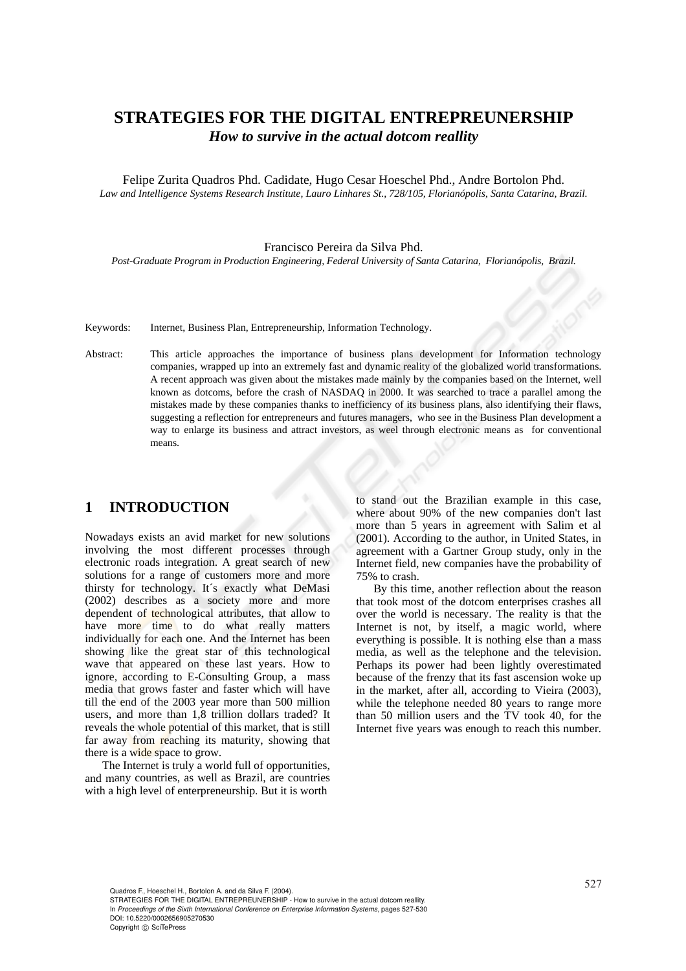# **STRATEGIES FOR THE DIGITAL ENTREPREUNERSHIP**  *How to survive in the actual dotcom reallity*

Felipe Zurita Quadros Phd. Cadidate, Hugo Cesar Hoeschel Phd., Andre Bortolon Phd. *Law and Intelligence Systems Research Institute, Lauro Linhares St., 728/105, Florianópolis, Santa Catarina, Brazil.* 

#### Francisco Pereira da Silva Phd.

*Post-Graduate Program in Production Engineering, Federal University of Santa Catarina, Florianópolis, Brazil.* 

Keywords: Internet, Business Plan, Entrepreneurship, Information Technology.

Abstract: This article approaches the importance of business plans development for Information technology companies, wrapped up into an extremely fast and dynamic reality of the globalized world transformations. A recent approach was given about the mistakes made mainly by the companies based on the Internet, well known as dotcoms, before the crash of NASDAQ in 2000. It was searched to trace a parallel among the mistakes made by these companies thanks to inefficiency of its business plans, also identifying their flaws, suggesting a reflection for entrepreneurs and futures managers, who see in the Business Plan development a way to enlarge its business and attract investors, as weel through electronic means as for conventional means.

#### **1 INTRODUCTION**

Nowadays exists an avid market for new solutions involving the most different processes through electronic roads integration. A great search of new solutions for a range of customers more and more thirsty for technology. It´s exactly what DeMasi (2002) describes as a society more and more dependent of technological attributes, that allow to have more time to do what really matters individually for each one. And the Internet has been showing like the great star of this technological wave that appeared on these last years. How to ignore, according to E-Consulting Group, a mass media that grows faster and faster which will have till the end of the 2003 year more than 500 million users, and more than 1,8 trillion dollars traded? It reveals the whole potential of this market, that is still far away from reaching its maturity, showing that there is a wide space to grow.

The Internet is truly a world full of opportunities, and many countries, as well as Brazil, are countries with a high level of enterpreneurship. But it is worth

to stand out the Brazilian example in this case, where about 90% of the new companies don't last more than 5 years in agreement with Salim et al (2001). According to the author, in United States, in agreement with a Gartner Group study, only in the Internet field, new companies have the probability of 75% to crash.

By this time, another reflection about the reason that took most of the dotcom enterprises crashes all over the world is necessary. The reality is that the Internet is not, by itself, a magic world, where everything is possible. It is nothing else than a mass media, as well as the telephone and the television. Perhaps its power had been lightly overestimated because of the frenzy that its fast ascension woke up in the market, after all, according to Vieira (2003), while the telephone needed 80 years to range more than 50 million users and the TV took 40, for the Internet five years was enough to reach this number.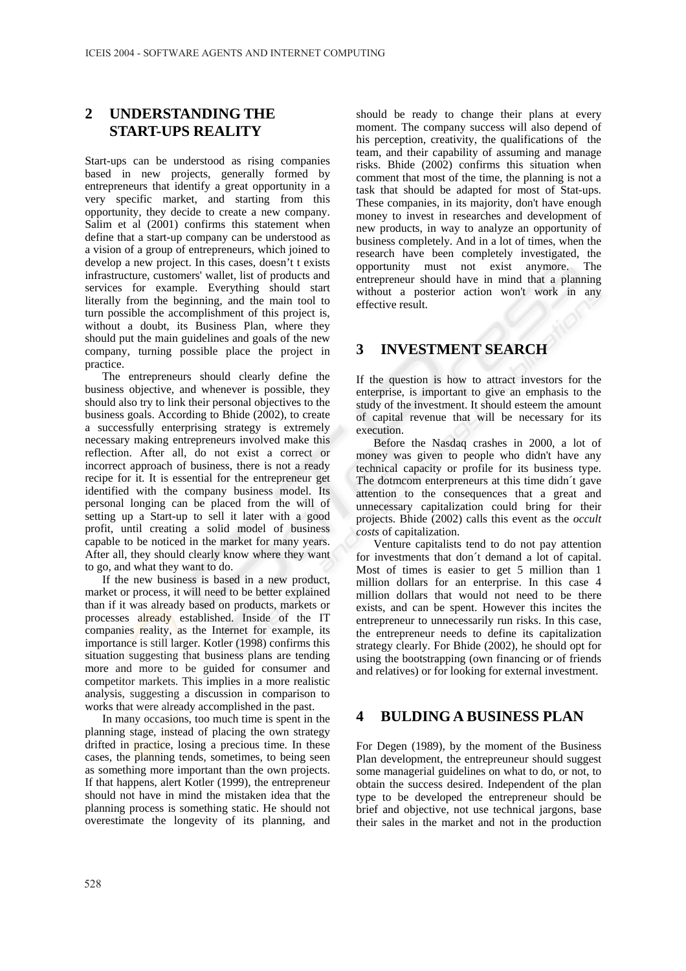## **2 UNDERSTANDING THE START-UPS REALITY**

Start-ups can be understood as rising companies based in new projects, generally formed by entrepreneurs that identify a great opportunity in a very specific market, and starting from this opportunity, they decide to create a new company. Salim et al (2001) confirms this statement when define that a start-up company can be understood as a vision of a group of entrepreneurs, which joined to develop a new project. In this cases, doesn't t exists infrastructure, customers' wallet, list of products and services for example. Everything should start literally from the beginning, and the main tool to turn possible the accomplishment of this project is, without a doubt, its Business Plan, where they should put the main guidelines and goals of the new company, turning possible place the project in practice.

The entrepreneurs should clearly define the business objective, and whenever is possible, they should also try to link their personal objectives to the business goals. According to Bhide (2002), to create a successfully enterprising strategy is extremely necessary making entrepreneurs involved make this reflection. After all, do not exist a correct or incorrect approach of business, there is not a ready recipe for it. It is essential for the entrepreneur get identified with the company business model. Its personal longing can be placed from the will of setting up a Start-up to sell it later with a good profit, until creating a solid model of business capable to be noticed in the market for many years. After all, they should clearly know where they want to go, and what they want to do.

If the new business is based in a new product, market or process, it will need to be better explained than if it was already based on products, markets or processes already established. Inside of the IT companies reality, as the Internet for example, its importance is still larger. Kotler (1998) confirms this situation suggesting that business plans are tending more and more to be guided for consumer and competitor markets. This implies in a more realistic analysis, suggesting a discussion in comparison to works that were already accomplished in the past.

In many occasions, too much time is spent in the planning stage, instead of placing the own strategy drifted in practice, losing a precious time. In these cases, the planning tends, sometimes, to being seen as something more important than the own projects. If that happens, alert Kotler (1999), the entrepreneur should not have in mind the mistaken idea that the planning process is something static. He should not overestimate the longevity of its planning, and

should be ready to change their plans at every moment. The company success will also depend of his perception, creativity, the qualifications of the team, and their capability of assuming and manage risks. Bhide (2002) confirms this situation when comment that most of the time, the planning is not a task that should be adapted for most of Stat-ups. These companies, in its majority, don't have enough money to invest in researches and development of new products, in way to analyze an opportunity of business completely. And in a lot of times, when the research have been completely investigated, the opportunity must not exist anymore. The entrepreneur should have in mind that a planning without a posterior action won't work in any effective result.

#### **3 INVESTMENT SEARCH**

If the question is how to attract investors for the enterprise, is important to give an emphasis to the study of the investment. It should esteem the amount of capital revenue that will be necessary for its execution.

Before the Nasdaq crashes in 2000, a lot of money was given to people who didn't have any technical capacity or profile for its business type. The dotmcom enterpreneurs at this time didn´t gave attention to the consequences that a great and unnecessary capitalization could bring for their projects. Bhide (2002) calls this event as the *occult costs* of capitalization.

Venture capitalists tend to do not pay attention for investments that don´t demand a lot of capital. Most of times is easier to get 5 million than 1 million dollars for an enterprise. In this case 4 million dollars that would not need to be there exists, and can be spent. However this incites the entrepreneur to unnecessarily run risks. In this case, the entrepreneur needs to define its capitalization strategy clearly. For Bhide (2002), he should opt for using the bootstrapping (own financing or of friends and relatives) or for looking for external investment.

#### **4 BULDING A BUSINESS PLAN**

For Degen (1989), by the moment of the Business Plan development, the entrepreuneur should suggest some managerial guidelines on what to do, or not, to obtain the success desired. Independent of the plan type to be developed the entrepreneur should be brief and objective, not use technical jargons, base their sales in the market and not in the production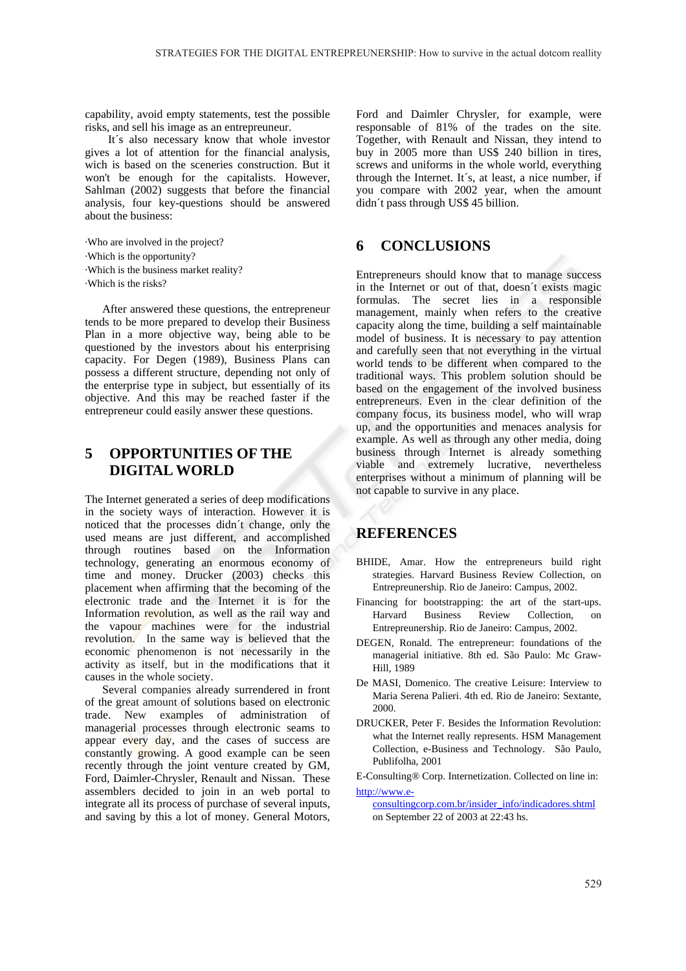capability, avoid empty statements, test the possible risks, and sell his image as an entrepreuneur.

 It´s also necessary know that whole investor gives a lot of attention for the financial analysis, wich is based on the sceneries construction. But it won't be enough for the capitalists. However, Sahlman (2002) suggests that before the financial analysis, four key-questions should be answered about the business:

·Who are involved in the project?

·Which is the opportunity?

·Which is the business market reality?

·Which is the risks?

After answered these questions, the entrepreneur tends to be more prepared to develop their Business Plan in a more objective way, being able to be questioned by the investors about his enterprising capacity. For Degen (1989), Business Plans can possess a different structure, depending not only of the enterprise type in subject, but essentially of its objective. And this may be reached faster if the entrepreneur could easily answer these questions.

## **5 OPPORTUNITIES OF THE DIGITAL WORLD**

The Internet generated a series of deep modifications in the society ways of interaction. However it is noticed that the processes didn´t change, only the used means are just different, and accomplished through routines based on the Information technology, generating an enormous economy of time and money. Drucker (2003) checks this placement when affirming that the becoming of the electronic trade and the Internet it is for the Information revolution, as well as the rail way and the vapour machines were for the industrial revolution. In the same way is believed that the economic phenomenon is not necessarily in the activity as itself, but in the modifications that it causes in the whole society.

Several companies already surrendered in front of the great amount of solutions based on electronic trade. New examples of administration of managerial processes through electronic seams to appear every day, and the cases of success are constantly growing. A good example can be seen recently through the joint venture created by GM, Ford, Daimler-Chrysler, Renault and Nissan. These assemblers decided to join in an web portal to integrate all its process of purchase of several inputs, and saving by this a lot of money. General Motors,

Ford and Daimler Chrysler, for example, were responsable of 81% of the trades on the site. Together, with Renault and Nissan, they intend to buy in 2005 more than US\$ 240 billion in tires, screws and uniforms in the whole world, everything through the Internet. It´s, at least, a nice number, if you compare with 2002 year, when the amount didn´t pass through US\$ 45 billion.

#### **6 CONCLUSIONS**

Entrepreneurs should know that to manage success in the Internet or out of that, doesn´t exists magic formulas. The secret lies in a responsible management, mainly when refers to the creative capacity along the time, building a self maintainable model of business. It is necessary to pay attention and carefully seen that not everything in the virtual world tends to be different when compared to the traditional ways. This problem solution should be based on the engagement of the involved business entrepreneurs. Even in the clear definition of the company focus, its business model, who will wrap up, and the opportunities and menaces analysis for example. As well as through any other media, doing business through Internet is already something viable and extremely lucrative, nevertheless enterprises without a minimum of planning will be not capable to survive in any place.

#### **REFERENCES**

- BHIDE, Amar. How the entrepreneurs build right strategies. Harvard Business Review Collection, on Entrepreunership. Rio de Janeiro: Campus, 2002.
- Financing for bootstrapping: the art of the start-ups. Harvard Business Review Collection, Entrepreunership. Rio de Janeiro: Campus, 2002.
- DEGEN, Ronald. The entrepreneur: foundations of the managerial initiative. 8th ed. São Paulo: Mc Graw-Hill, 1989
- De MASI, Domenico. The creative Leisure: Interview to Maria Serena Palieri. 4th ed. Rio de Janeiro: Sextante, 2000.
- DRUCKER, Peter F. Besides the Information Revolution: what the Internet really represents. HSM Management Collection, e-Business and Technology. São Paulo, Publifolha, 2001

E-Consulting® Corp. Internetization. Collected on line in: http://www.e-

consultingcorp.com.br/insider\_info/indicadores.shtml on September 22 of 2003 at 22:43 hs.